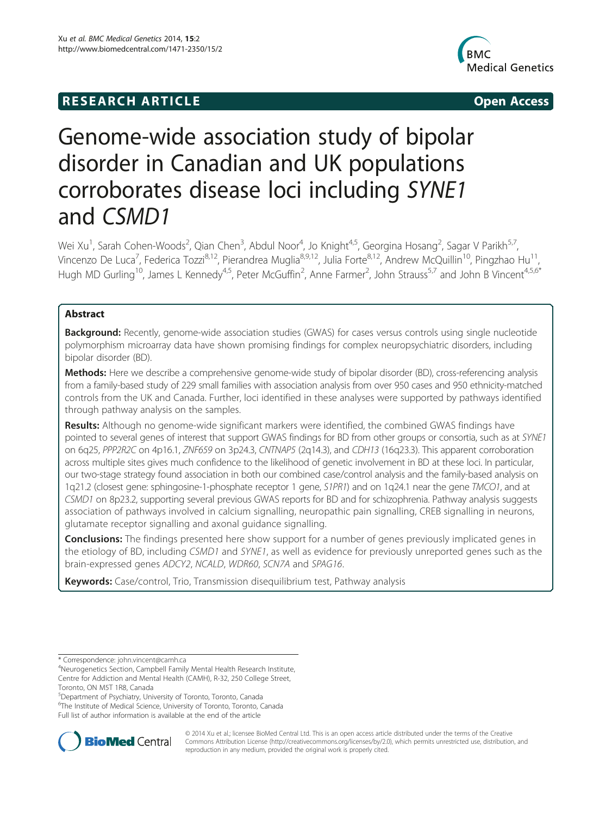## **RESEARCH ARTICLE Example 2014 12:30 The SEAR CHA RESEARCH ARTICLE**



# Genome-wide association study of bipolar disorder in Canadian and UK populations corroborates disease loci including SYNE1 and CSMD1

Wei Xu<sup>1</sup>, Sarah Cohen-Woods<sup>2</sup>, Qian Chen<sup>3</sup>, Abdul Noor<sup>4</sup>, Jo Knight<sup>4,5</sup>, Georgina Hosang<sup>2</sup>, Sagar V Parikh<sup>5,7</sup>, Vincenzo De Luca<sup>7</sup>, Federica Tozzi<sup>8,12</sup>, Pierandrea Muglia<sup>8,9,12</sup>, Julia Forte<sup>8,12</sup>, Andrew McQuillin<sup>10</sup>, Pingzhao Hu<sup>11</sup>, Hugh MD Gurling<sup>10</sup>, James L Kennedy<sup>4,5</sup>, Peter McGuffin<sup>2</sup>, Anne Farmer<sup>2</sup>, John Strauss<sup>5,7</sup> and John B Vincent<sup>4,5,6\*</sup>

## Abstract

**Background:** Recently, genome-wide association studies (GWAS) for cases versus controls using single nucleotide polymorphism microarray data have shown promising findings for complex neuropsychiatric disorders, including bipolar disorder (BD).

Methods: Here we describe a comprehensive genome-wide study of bipolar disorder (BD), cross-referencing analysis from a family-based study of 229 small families with association analysis from over 950 cases and 950 ethnicity-matched controls from the UK and Canada. Further, loci identified in these analyses were supported by pathways identified through pathway analysis on the samples.

Results: Although no genome-wide significant markers were identified, the combined GWAS findings have pointed to several genes of interest that support GWAS findings for BD from other groups or consortia, such as at SYNE1 on 6q25, PPP2R2C on 4p16.1, ZNF659 on 3p24.3, CNTNAP5 (2q14.3), and CDH13 (16q23.3). This apparent corroboration across multiple sites gives much confidence to the likelihood of genetic involvement in BD at these loci. In particular, our two-stage strategy found association in both our combined case/control analysis and the family-based analysis on 1q21.2 (closest gene: sphingosine-1-phosphate receptor 1 gene, S1PR1) and on 1q24.1 near the gene TMCO1, and at CSMD1 on 8p23.2, supporting several previous GWAS reports for BD and for schizophrenia. Pathway analysis suggests association of pathways involved in calcium signalling, neuropathic pain signalling, CREB signalling in neurons, glutamate receptor signalling and axonal guidance signalling.

**Conclusions:** The findings presented here show support for a number of genes previously implicated genes in the etiology of BD, including CSMD1 and SYNE1, as well as evidence for previously unreported genes such as the brain-expressed genes ADCY2, NCALD, WDR60, SCN7A and SPAG16.

Keywords: Case/control, Trio, Transmission disequilibrium test, Pathway analysis

5 Department of Psychiatry, University of Toronto, Toronto, Canada

<sup>6</sup>The Institute of Medical Science, University of Toronto, Toronto, Canada Full list of author information is available at the end of the article



© 2014 Xu et al.; licensee BioMed Central Ltd. This is an open access article distributed under the terms of the Creative Commons Attribution License [\(http://creativecommons.org/licenses/by/2.0\)](http://creativecommons.org/licenses/by/2.0), which permits unrestricted use, distribution, and reproduction in any medium, provided the original work is properly cited.

<sup>\*</sup> Correspondence: [john.vincent@camh.ca](mailto:john.vincent@camh.ca) <sup>4</sup>

Neurogenetics Section, Campbell Family Mental Health Research Institute, Centre for Addiction and Mental Health (CAMH), R-32, 250 College Street, Toronto, ON M5T 1R8, Canada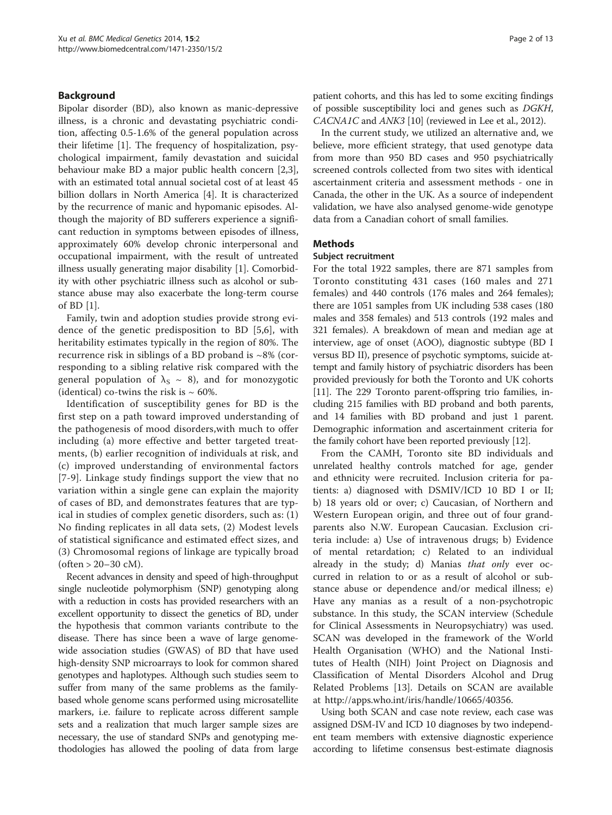#### Background

Bipolar disorder (BD), also known as manic-depressive illness, is a chronic and devastating psychiatric condition, affecting 0.5-1.6% of the general population across their lifetime [\[1](#page-11-0)]. The frequency of hospitalization, psychological impairment, family devastation and suicidal behaviour make BD a major public health concern [\[2,3](#page-11-0)], with an estimated total annual societal cost of at least 45 billion dollars in North America [[4\]](#page-11-0). It is characterized by the recurrence of manic and hypomanic episodes. Although the majority of BD sufferers experience a significant reduction in symptoms between episodes of illness, approximately 60% develop chronic interpersonal and occupational impairment, with the result of untreated illness usually generating major disability [[1\]](#page-11-0). Comorbidity with other psychiatric illness such as alcohol or substance abuse may also exacerbate the long-term course of BD [[1\]](#page-11-0).

Family, twin and adoption studies provide strong evidence of the genetic predisposition to BD [[5,6](#page-11-0)], with heritability estimates typically in the region of 80%. The recurrence risk in siblings of a BD proband is  $\sim 8\%$  (corresponding to a sibling relative risk compared with the general population of  $\lambda_s \sim 8$ ), and for monozygotic (identical) co-twins the risk is  $\sim 60\%$ .

Identification of susceptibility genes for BD is the first step on a path toward improved understanding of the pathogenesis of mood disorders,with much to offer including (a) more effective and better targeted treatments, (b) earlier recognition of individuals at risk, and (c) improved understanding of environmental factors [[7](#page-11-0)-[9\]](#page-11-0). Linkage study findings support the view that no variation within a single gene can explain the majority of cases of BD, and demonstrates features that are typical in studies of complex genetic disorders, such as: (1) No finding replicates in all data sets, (2) Modest levels of statistical significance and estimated effect sizes, and (3) Chromosomal regions of linkage are typically broad  $(often > 20-30 cM).$ 

Recent advances in density and speed of high-throughput single nucleotide polymorphism (SNP) genotyping along with a reduction in costs has provided researchers with an excellent opportunity to dissect the genetics of BD, under the hypothesis that common variants contribute to the disease. There has since been a wave of large genomewide association studies (GWAS) of BD that have used high-density SNP microarrays to look for common shared genotypes and haplotypes. Although such studies seem to suffer from many of the same problems as the familybased whole genome scans performed using microsatellite markers, i.e. failure to replicate across different sample sets and a realization that much larger sample sizes are necessary, the use of standard SNPs and genotyping methodologies has allowed the pooling of data from large patient cohorts, and this has led to some exciting findings of possible susceptibility loci and genes such as DGKH, CACNA1C and ANK3 [[10](#page-11-0)] (reviewed in Lee et al., 2012).

In the current study, we utilized an alternative and, we believe, more efficient strategy, that used genotype data from more than 950 BD cases and 950 psychiatrically screened controls collected from two sites with identical ascertainment criteria and assessment methods - one in Canada, the other in the UK. As a source of independent validation, we have also analysed genome-wide genotype data from a Canadian cohort of small families.

#### Methods

#### Subject recruitment

For the total 1922 samples, there are 871 samples from Toronto constituting 431 cases (160 males and 271 females) and 440 controls (176 males and 264 females); there are 1051 samples from UK including 538 cases (180 males and 358 females) and 513 controls (192 males and 321 females). A breakdown of mean and median age at interview, age of onset (AOO), diagnostic subtype (BD I versus BD II), presence of psychotic symptoms, suicide attempt and family history of psychiatric disorders has been provided previously for both the Toronto and UK cohorts [[11](#page-11-0)]. The 229 Toronto parent-offspring trio families, including 215 families with BD proband and both parents, and 14 families with BD proband and just 1 parent. Demographic information and ascertainment criteria for the family cohort have been reported previously [[12](#page-11-0)].

From the CAMH, Toronto site BD individuals and unrelated healthy controls matched for age, gender and ethnicity were recruited. Inclusion criteria for patients: a) diagnosed with DSMIV/ICD 10 BD I or II; b) 18 years old or over; c) Caucasian, of Northern and Western European origin, and three out of four grandparents also N.W. European Caucasian. Exclusion criteria include: a) Use of intravenous drugs; b) Evidence of mental retardation; c) Related to an individual already in the study; d) Manias that only ever occurred in relation to or as a result of alcohol or substance abuse or dependence and/or medical illness; e) Have any manias as a result of a non-psychotropic substance. In this study, the SCAN interview (Schedule for Clinical Assessments in Neuropsychiatry) was used. SCAN was developed in the framework of the World Health Organisation (WHO) and the National Institutes of Health (NIH) Joint Project on Diagnosis and Classification of Mental Disorders Alcohol and Drug Related Problems [\[13](#page-11-0)]. Details on SCAN are available at<http://apps.who.int/iris/handle/10665/40356>.

Using both SCAN and case note review, each case was assigned DSM-IV and ICD 10 diagnoses by two independent team members with extensive diagnostic experience according to lifetime consensus best-estimate diagnosis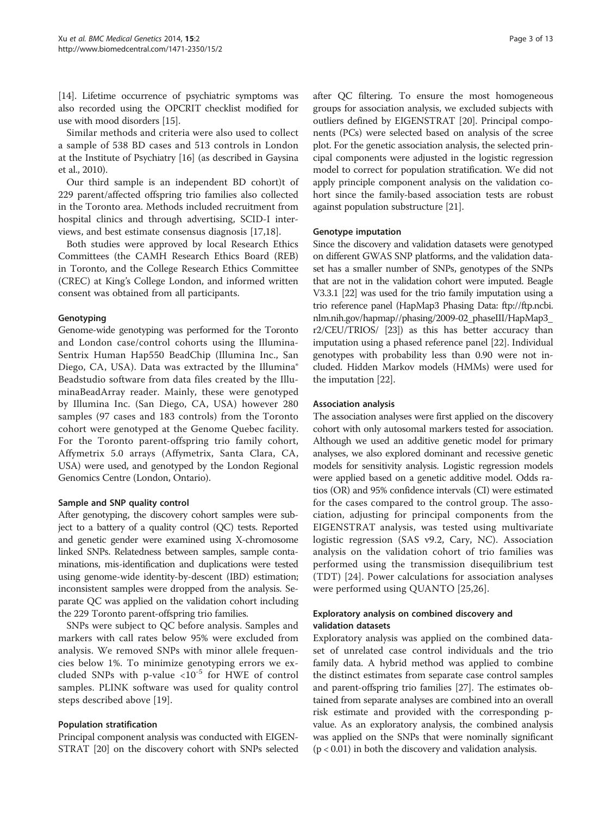[[14](#page-11-0)]. Lifetime occurrence of psychiatric symptoms was also recorded using the OPCRIT checklist modified for use with mood disorders [[15](#page-11-0)].

Similar methods and criteria were also used to collect a sample of 538 BD cases and 513 controls in London at the Institute of Psychiatry [\[16\]](#page-11-0) (as described in Gaysina et al., 2010).

Our third sample is an independent BD cohort)t of 229 parent/affected offspring trio families also collected in the Toronto area. Methods included recruitment from hospital clinics and through advertising, SCID-I interviews, and best estimate consensus diagnosis [[17](#page-11-0),[18](#page-11-0)].

Both studies were approved by local Research Ethics Committees (the CAMH Research Ethics Board (REB) in Toronto, and the College Research Ethics Committee (CREC) at King's College London, and informed written consent was obtained from all participants.

#### Genotyping

Genome-wide genotyping was performed for the Toronto and London case/control cohorts using the Illumina-Sentrix Human Hap550 BeadChip (Illumina Inc., San Diego, CA, USA). Data was extracted by the Illumina® Beadstudio software from data files created by the IlluminaBeadArray reader. Mainly, these were genotyped by Illumina Inc. (San Diego, CA, USA) however 280 samples (97 cases and 183 controls) from the Toronto cohort were genotyped at the Genome Quebec facility. For the Toronto parent-offspring trio family cohort, Affymetrix 5.0 arrays (Affymetrix, Santa Clara, CA, USA) were used, and genotyped by the London Regional Genomics Centre (London, Ontario).

#### Sample and SNP quality control

After genotyping, the discovery cohort samples were subject to a battery of a quality control (QC) tests. Reported and genetic gender were examined using X-chromosome linked SNPs. Relatedness between samples, sample contaminations, mis-identification and duplications were tested using genome-wide identity-by-descent (IBD) estimation; inconsistent samples were dropped from the analysis. Separate QC was applied on the validation cohort including the 229 Toronto parent-offspring trio families.

SNPs were subject to QC before analysis. Samples and markers with call rates below 95% were excluded from analysis. We removed SNPs with minor allele frequencies below 1%. To minimize genotyping errors we excluded SNPs with p-value  $\langle 10^{-5}$  for HWE of control samples. PLINK software was used for quality control steps described above [\[19](#page-11-0)].

#### Population stratification

Principal component analysis was conducted with EIGEN-STRAT [\[20\]](#page-11-0) on the discovery cohort with SNPs selected

after QC filtering. To ensure the most homogeneous groups for association analysis, we excluded subjects with outliers defined by EIGENSTRAT [\[20\]](#page-11-0). Principal components (PCs) were selected based on analysis of the scree plot. For the genetic association analysis, the selected principal components were adjusted in the logistic regression model to correct for population stratification. We did not apply principle component analysis on the validation cohort since the family-based association tests are robust against population substructure [[21](#page-11-0)].

#### Genotype imputation

Since the discovery and validation datasets were genotyped on different GWAS SNP platforms, and the validation dataset has a smaller number of SNPs, genotypes of the SNPs that are not in the validation cohort were imputed. Beagle V3.3.1 [[22\]](#page-11-0) was used for the trio family imputation using a trio reference panel (HapMap3 Phasing Data: [ftp://ftp.ncbi.](ftp://ftp.ncbi.nlm.nih.gov/hapmap//phasing/2009-02_phaseIII/HapMap3_r2/CEU/TRIOS/) [nlm.nih.gov/hapmap//phasing/2009-02\\_phaseIII/HapMap3\\_](ftp://ftp.ncbi.nlm.nih.gov/hapmap//phasing/2009-02_phaseIII/HapMap3_r2/CEU/TRIOS/) [r2/CEU/TRIOS/](ftp://ftp.ncbi.nlm.nih.gov/hapmap//phasing/2009-02_phaseIII/HapMap3_r2/CEU/TRIOS/) [\[23\]](#page-11-0)) as this has better accuracy than imputation using a phased reference panel [[22](#page-11-0)]. Individual genotypes with probability less than 0.90 were not included. Hidden Markov models (HMMs) were used for the imputation [[22\]](#page-11-0).

#### Association analysis

The association analyses were first applied on the discovery cohort with only autosomal markers tested for association. Although we used an additive genetic model for primary analyses, we also explored dominant and recessive genetic models for sensitivity analysis. Logistic regression models were applied based on a genetic additive model. Odds ratios (OR) and 95% confidence intervals (CI) were estimated for the cases compared to the control group. The association, adjusting for principal components from the EIGENSTRAT analysis, was tested using multivariate logistic regression (SAS v9.2, Cary, NC). Association analysis on the validation cohort of trio families was performed using the transmission disequilibrium test (TDT) [[24\]](#page-11-0). Power calculations for association analyses were performed using QUANTO [[25,26\]](#page-11-0).

#### Exploratory analysis on combined discovery and validation datasets

Exploratory analysis was applied on the combined dataset of unrelated case control individuals and the trio family data. A hybrid method was applied to combine the distinct estimates from separate case control samples and parent-offspring trio families [\[27\]](#page-11-0). The estimates obtained from separate analyses are combined into an overall risk estimate and provided with the corresponding pvalue. As an exploratory analysis, the combined analysis was applied on the SNPs that were nominally significant  $(p < 0.01)$  in both the discovery and validation analysis.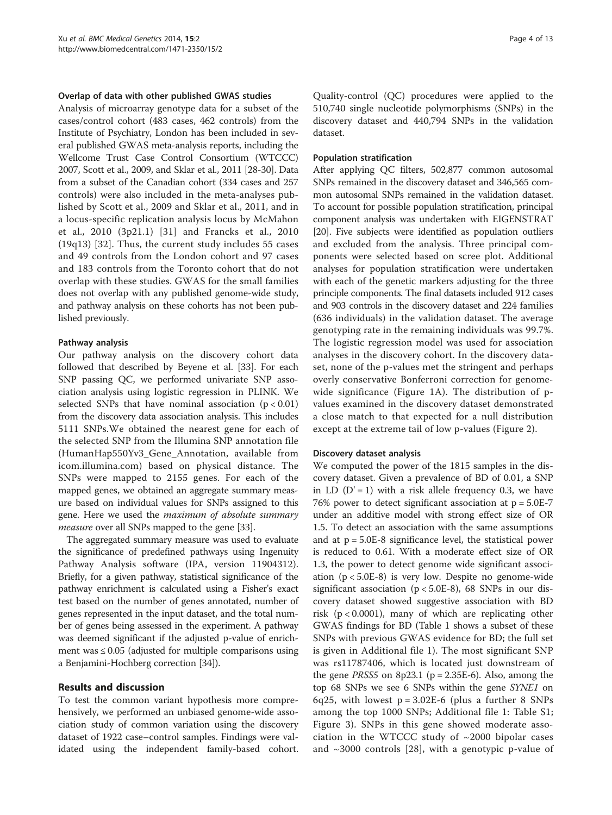#### Overlap of data with other published GWAS studies

Analysis of microarray genotype data for a subset of the cases/control cohort (483 cases, 462 controls) from the Institute of Psychiatry, London has been included in several published GWAS meta-analysis reports, including the Wellcome Trust Case Control Consortium (WTCCC) 2007, Scott et al., 2009, and Sklar et al., 2011 [\[28-30\]](#page-11-0). Data from a subset of the Canadian cohort (334 cases and 257 controls) were also included in the meta-analyses published by Scott et al., 2009 and Sklar et al., 2011, and in a locus-specific replication analysis locus by McMahon et al., 2010 (3p21.1) [[31\]](#page-11-0) and Francks et al., 2010 (19q13) [\[32\]](#page-11-0). Thus, the current study includes 55 cases and 49 controls from the London cohort and 97 cases and 183 controls from the Toronto cohort that do not overlap with these studies. GWAS for the small families does not overlap with any published genome-wide study, and pathway analysis on these cohorts has not been published previously.

#### Pathway analysis

Our pathway analysis on the discovery cohort data followed that described by Beyene et al. [\[33](#page-11-0)]. For each SNP passing QC, we performed univariate SNP association analysis using logistic regression in PLINK. We selected SNPs that have nominal association  $(p < 0.01)$ from the discovery data association analysis. This includes 5111 SNPs.We obtained the nearest gene for each of the selected SNP from the Illumina SNP annotation file (HumanHap550Yv3\_Gene\_Annotation, available from icom.illumina.com) based on physical distance. The SNPs were mapped to 2155 genes. For each of the mapped genes, we obtained an aggregate summary measure based on individual values for SNPs assigned to this gene. Here we used the maximum of absolute summary measure over all SNPs mapped to the gene [[33](#page-11-0)].

The aggregated summary measure was used to evaluate the significance of predefined pathways using Ingenuity Pathway Analysis software (IPA, version 11904312). Briefly, for a given pathway, statistical significance of the pathway enrichment is calculated using a Fisher's exact test based on the number of genes annotated, number of genes represented in the input dataset, and the total number of genes being assessed in the experiment. A pathway was deemed significant if the adjusted p-value of enrichment was  $\leq 0.05$  (adjusted for multiple comparisons using a Benjamini-Hochberg correction [[34](#page-11-0)]).

#### Results and discussion

To test the common variant hypothesis more comprehensively, we performed an unbiased genome-wide association study of common variation using the discovery dataset of 1922 case–control samples. Findings were validated using the independent family-based cohort.

Quality-control (QC) procedures were applied to the 510,740 single nucleotide polymorphisms (SNPs) in the discovery dataset and 440,794 SNPs in the validation dataset.

#### Population stratification

After applying QC filters, 502,877 common autosomal SNPs remained in the discovery dataset and 346,565 common autosomal SNPs remained in the validation dataset. To account for possible population stratification, principal component analysis was undertaken with EIGENSTRAT [[20](#page-11-0)]. Five subjects were identified as population outliers and excluded from the analysis. Three principal components were selected based on scree plot. Additional analyses for population stratification were undertaken with each of the genetic markers adjusting for the three principle components. The final datasets included 912 cases and 903 controls in the discovery dataset and 224 families (636 individuals) in the validation dataset. The average genotyping rate in the remaining individuals was 99.7%. The logistic regression model was used for association analyses in the discovery cohort. In the discovery dataset, none of the p-values met the stringent and perhaps overly conservative Bonferroni correction for genomewide significance (Figure [1](#page-4-0)A). The distribution of pvalues examined in the discovery dataset demonstrated a close match to that expected for a null distribution except at the extreme tail of low p-values (Figure [2](#page-4-0)).

#### Discovery dataset analysis

We computed the power of the 1815 samples in the discovery dataset. Given a prevalence of BD of 0.01, a SNP in LD  $(D' = 1)$  with a risk allele frequency 0.3, we have 76% power to detect significant association at p = 5.0E-7 under an additive model with strong effect size of OR 1.5. To detect an association with the same assumptions and at  $p = 5.0E-8$  significance level, the statistical power is reduced to 0.61. With a moderate effect size of OR 1.3, the power to detect genome wide significant association (p < 5.0E-8) is very low. Despite no genome-wide significant association ( $p < 5.0E-8$ ), 68 SNPs in our discovery dataset showed suggestive association with BD risk ( $p < 0.0001$ ), many of which are replicating other GWAS findings for BD (Table [1](#page-5-0) shows a subset of these SNPs with previous GWAS evidence for BD; the full set is given in Additional file [1\)](#page-10-0). The most significant SNP was rs11787406, which is located just downstream of the gene *PRSS5* on 8p23.1 ( $p = 2.35E-6$ ). Also, among the top 68 SNPs we see 6 SNPs within the gene SYNE1 on 6q25, with lowest  $p = 3.02E-6$  (plus a further 8 SNPs among the top 1000 SNPs; Additional file [1:](#page-10-0) Table S1; Figure [3](#page-6-0)). SNPs in this gene showed moderate association in the WTCCC study of  $\sim$ 2000 bipolar cases and  $\sim$ 3000 controls [[28\]](#page-11-0), with a genotypic p-value of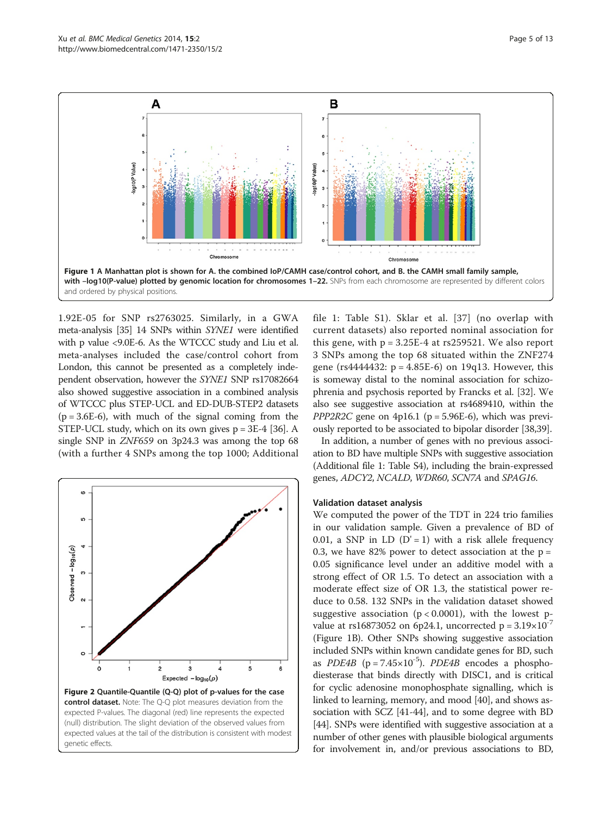<span id="page-4-0"></span>

1.92E-05 for SNP rs2763025. Similarly, in a GWA meta-analysis [\[35\]](#page-11-0) 14 SNPs within SYNE1 were identified with p value <9.0E-6. As the WTCCC study and Liu et al. meta-analyses included the case/control cohort from London, this cannot be presented as a completely independent observation, however the SYNE1 SNP rs17082664 also showed suggestive association in a combined analysis of WTCCC plus STEP-UCL and ED-DUB-STEP2 datasets  $(p = 3.6E-6)$ , with much of the signal coming from the STEP-UCL study, which on its own gives  $p = 3E-4$  [[36](#page-11-0)]. A single SNP in ZNF659 on 3p24.3 was among the top 68 (with a further 4 SNPs among the top 1000; Additional



file [1](#page-10-0): Table S1). Sklar et al. [[37](#page-11-0)] (no overlap with current datasets) also reported nominal association for this gene, with  $p = 3.25E-4$  at rs259521. We also report 3 SNPs among the top 68 situated within the ZNF274 gene (rs $4444432$ : p =  $4.85E-6$ ) on 19q13. However, this is someway distal to the nominal association for schizophrenia and psychosis reported by Francks et al. [\[32](#page-11-0)]. We also see suggestive association at rs4689410, within the PPP2R2C gene on  $4p16.1$  (p = 5.96E-6), which was previously reported to be associated to bipolar disorder [[38,39](#page-12-0)].

In addition, a number of genes with no previous association to BD have multiple SNPs with suggestive association (Additional file [1:](#page-10-0) Table S4), including the brain-expressed genes, ADCY2, NCALD, WDR60, SCN7A and SPAG16.

#### Validation dataset analysis

We computed the power of the TDT in 224 trio families in our validation sample. Given a prevalence of BD of 0.01, a SNP in LD  $(D' = 1)$  with a risk allele frequency 0.3, we have 82% power to detect association at the  $p =$ 0.05 significance level under an additive model with a strong effect of OR 1.5. To detect an association with a moderate effect size of OR 1.3, the statistical power reduce to 0.58. 132 SNPs in the validation dataset showed suggestive association ( $p < 0.0001$ ), with the lowest pvalue at rs16873052 on 6p24.1, uncorrected  $p = 3.19 \times 10^{-7}$ (Figure 1B). Other SNPs showing suggestive association included SNPs within known candidate genes for BD, such as *PDE4B* ( $p = 7.45 \times 10^{-5}$ ). *PDE4B* encodes a phosphodiesterase that binds directly with DISC1, and is critical for cyclic adenosine monophosphate signalling, which is linked to learning, memory, and mood [[40](#page-12-0)], and shows association with SCZ [\[41-44\]](#page-12-0), and to some degree with BD [[44](#page-12-0)]. SNPs were identified with suggestive association at a number of other genes with plausible biological arguments for involvement in, and/or previous associations to BD,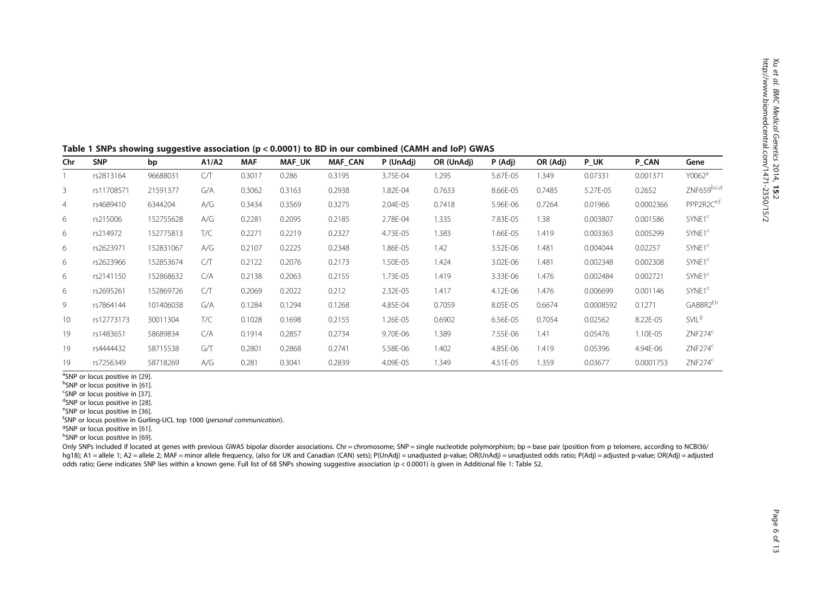<span id="page-5-0"></span>

| Table 1 SNPs showing suggestive association (p < 0.0001) to BD in our combined (CAMH and IoP) GWAS |  |
|----------------------------------------------------------------------------------------------------|--|
|----------------------------------------------------------------------------------------------------|--|

| Chr            | <b>SNP</b> | bp        | A1/A2 | <b>MAF</b> | <b>MAF UK</b> | <b>MAF CAN</b> | P (UnAdj) | OR (UnAdj) | P (Adj)  | OR (Adj) | <b>PUK</b> | P CAN     | Gene                   |
|----------------|------------|-----------|-------|------------|---------------|----------------|-----------|------------|----------|----------|------------|-----------|------------------------|
|                | rs2813164  | 96688031  | CЛ    | 0.3017     | 0.286         | 0.3195         | 3.75E-04  | 1.295      | 5.67E-05 | 1.349    | 0.07331    | 0.001371  | Y0062 <sup>a</sup>     |
| 3              | rs11708571 | 21591377  | G/A   | 0.3062     | 0.3163        | 0.2938         | 1.82E-04  | 0.7633     | 8.66E-05 | 0.7485   | 5.27E-05   | 0.2652    | ZNF659b,c,d            |
| $\overline{4}$ | rs4689410  | 6344204   | A/G   | 0.3434     | 0.3569        | 0.3275         | 2.04E-05  | 0.7418     | 5.96E-06 | 0.7264   | 0.01966    | 0.0002366 | PPP2R2C <sup>e,f</sup> |
| 6              | rs215006   | 152755628 | A/G   | 0.2281     | 0.2095        | 0.2185         | 2.78E-04  | 1.335      | 7.83E-05 | 1.38     | 0.003807   | 0.001586  | SYNE <sub>1</sub> c    |
| 6              | rs214972   | 152775813 | T/C   | 0.2271     | 0.2219        | 0.2327         | 4.73E-05  | 1.383      | 1.66E-05 | 1.419    | 0.003363   | 0.005299  | SYNE1 <sup>c</sup>     |
| 6              | rs2623971  | 152831067 | A/G   | 0.2107     | 0.2225        | 0.2348         | 1.86E-05  | 1.42       | 3.52E-06 | 1.481    | 0.004044   | 0.02257   | SYNE <sub>1</sub> c    |
| 6              | rs2623966  | 152853674 | CЛ    | 0.2122     | 0.2076        | 0.2173         | 1.50E-05  | 1.424      | 3.02E-06 | 1.481    | 0.002348   | 0.002308  | SYNE <sub>1</sub> c    |
| 6              | rs2141150  | 152868632 | C/A   | 0.2138     | 0.2063        | 0.2155         | 1.73E-05  | 1.419      | 3.33E-06 | 1.476    | 0.002484   | 0.002721  | SYNE <sub>1</sub> c    |
| 6              | rs2695261  | 152869726 | CЛ    | 0.2069     | 0.2022        | 0.212          | 2.32E-05  | 1.417      | 4.12E-06 | 1.476    | 0.006699   | 0.001146  | SYNE <sub>1</sub> c    |
| 9              | rs7864144  | 101406038 | G/A   | 0.1284     | 0.1294        | 0.1268         | 4.85E-04  | 0.7059     | 8.05E-05 | 0.6674   | 0.0008592  | 0.1271    | GABBR2 <sup>f,h</sup>  |
| 10             | rs12773173 | 30011304  | T/C   | 0.1028     | 0.1698        | 0.2155         | 1.26E-05  | 0.6902     | 6.56E-05 | 0.7054   | 0.02562    | 8.22E-05  | SVIL <sup>9</sup>      |
| 19             | rs1483651  | 58689834  | C/A   | 0.1914     | 0.2857        | 0.2734         | 9.70E-06  | 1.389      | 7.55E-06 | 1.41     | 0.05476    | 1.10E-05  | $ZNF274^c$             |
| 19             | rs4444432  | 58715538  | GЛ    | 0.2801     | 0.2868        | 0.2741         | 5.58E-06  | 1.402      | 4.85E-06 | 1.419    | 0.05396    | 4.94E-06  | ZNF274 <sup>c</sup>    |
| 19             | rs7256349  | 58718269  | A/G   | 0.281      | 0.3041        | 0.2839         | 4.09E-05  | 1.349      | 4.51E-05 | 1.359    | 0.03677    | 0.0001753 | $ZNF274^c$             |

<sup>a</sup>SNP or locus positive in [29]. <sup>a</sup>SNP or locus positive in [\[29](#page-11-0)].<br><sup>b</sup>SNP or locus positive in [61]

<sup>o</sup>SNP or locus positive in [[61\]](#page-12-0).<br><sup>c</sup>SNP or locus positive in [37]

<sup>c</sup>SNP or locus positive in [\[37](#page-11-0)].<br><sup>d</sup>SNP or locus positive in [28]

<sup>u</sup>SNP or locus positive in [[28\]](#page-11-0).<br><sup>e</sup>SNP or locus positive in [36]

<sup>e</sup>SNP or locus positive in [\[36](#page-11-0)].<br><sup>f</sup>SNP or locus positive in Gurling-UCL top 1000 (*personal communication*).<br><sup>ge</sup>NP or locus positive in [61]

 $9$ SNP or locus positive in [[61\]](#page-12-0).

h<sub>SNP</sub> or locus positive in [[69\]](#page-12-0).

Only SNPs included if located at genes with previous GWAS bipolar disorder associations. Chr = chromosome; SNP = single nucleotide polymorphism; bp = base pair (position from p telomere, according to NCBI36/ hg18); A1 = allele 1; A2 = allele 2; MAF = minor allele frequency, (also for UK and Canadian (CAN) sets); P(UnAdj) = unadjusted p-value; OR(UnAdj) = unadjusted odds ratio; P(Adj) = adjusted p-value; OR(Adj) = adjusted odds ratio; Gene indicates SNP lies within a known gene. Full list of 68 SNPs showing suggestive association (p < 0.0001) is given in Additional file [1:](#page-10-0) Table S2.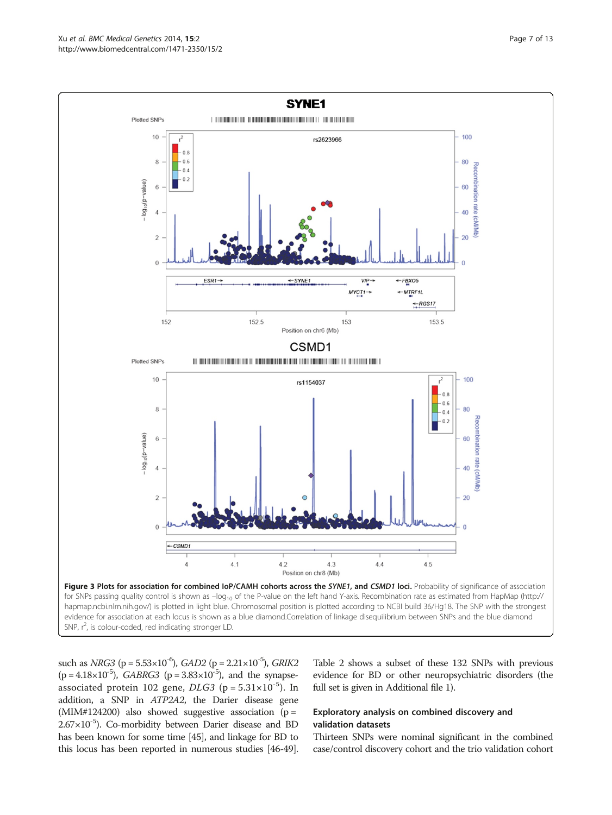<span id="page-6-0"></span>

such as  $NRG3$  (p = 5.53×10<sup>-6</sup>),  $GAD2$  (p = 2.21×10<sup>-5</sup>),  $GRIK2$  $(p = 4.18 \times 10^{-5})$ , GABRG3 (p = 3.83×10<sup>-5</sup>), and the synapseassociated protein 102 gene,  $DLG3$  (p =  $5.31 \times 10^{-5}$ ). In addition, a SNP in ATP2A2, the Darier disease gene (MIM#124200) also showed suggestive association ( $p =$  $2.67\times10^{-5}$ ). Co-morbidity between Darier disease and BD has been known for some time [\[45\]](#page-12-0), and linkage for BD to this locus has been reported in numerous studies [\[46-49](#page-12-0)].

Table [2](#page-7-0) shows a subset of these 132 SNPs with previous evidence for BD or other neuropsychiatric disorders (the full set is given in Additional file [1](#page-10-0)).

### Exploratory analysis on combined discovery and validation datasets

Thirteen SNPs were nominal significant in the combined case/control discovery cohort and the trio validation cohort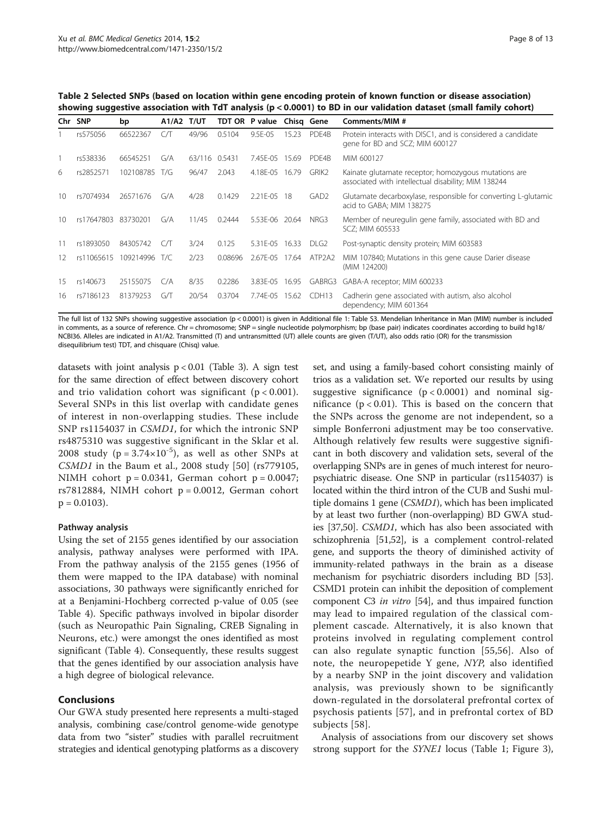<span id="page-7-0"></span>Table 2 Selected SNPs (based on location within gene encoding protein of known function or disease association) showing suggestive association with TdT analysis (p < 0.0001) to BD in our validation dataset (small family cohort)

| Chr. | <b>SNP</b> | bp            | A1/A2 | T/UT          |         | TDT OR P value | Chisg Gene |                   | Comments/MIM #                                                                                              |
|------|------------|---------------|-------|---------------|---------|----------------|------------|-------------------|-------------------------------------------------------------------------------------------------------------|
|      | rs575056   | 66522367      | СЛ    | 49/96         | 0.5104  | 9.5E-05        | 15.23      | PDE4B             | Protein interacts with DISC1, and is considered a candidate<br>gene for BD and SCZ; MIM 600127              |
|      | rs538336   | 66545251      | G/A   | 63/116 0.5431 |         | 7.45E-05 15.69 |            | PDF4B             | MIM 600127                                                                                                  |
| 6    | rs2852571  | 102108785 T/G |       | 96/47         | 2.043   | 4.18E-05 16.79 |            | GRIK <sub>2</sub> | Kainate glutamate receptor; homozygous mutations are<br>associated with intellectual disability; MIM 138244 |
| 10   | rs7074934  | 26571676      | G/A   | 4/28          | 0.1429  | 2.21E-05       | -18        | GAD <sub>2</sub>  | Glutamate decarboxylase, responsible for converting L-glutamic<br>acid to GABA; MIM 138275                  |
| 10   | rs17647803 | 83730201      | G/A   | 11/45         | 0.2444  | 5.53E-06       | 20.64      | NRG3              | Member of neuregulin gene family, associated with BD and<br>SCZ; MIM 605533                                 |
| 11   | rs1893050  | 84305742      | CЛ    | 3/24          | 0.125   | 5.31E-05       | 16.33      | DLG <sub>2</sub>  | Post-synaptic density protein; MIM 603583                                                                   |
| 12   | rs11065615 | 109214996     | T/C   | 2/23          | 0.08696 | 2.67E-05       | 17.64      | ATP2A2            | MIM 107840; Mutations in this gene cause Darier disease<br>(MIM 124200)                                     |
| 15   | rs140673   | 25155075      | C/A   | 8/35          | 0.2286  | 3.83E-05       | 16.95      | GABRG3            | GABA-A receptor; MIM 600233                                                                                 |
| 16   | rs7186123  | 81379253      | GЛ    | 20/54         | 0.3704  | 7.74E-05 15.62 |            | CDH13             | Cadherin gene associated with autism, also alcohol<br>dependency; MIM 601364                                |

The full list of 132 SNPs showing suggestive association (p < 0.0001) is given in Additional file [1:](#page-10-0) Table S3. Mendelian Inheritance in Man (MIM) number is included in comments, as a source of reference. Chr = chromosome; SNP = single nucleotide polymorphism; bp (base pair) indicates coordinates according to build hg18/ NCBI36. Alleles are indicated in A1/A2. Transmitted (T) and untransmitted (UT) allele counts are given (T/UT), also odds ratio (OR) for the transmission disequilibrium test) TDT, and chisquare (Chisq) value.

datasets with joint analysis  $p < 0.01$  (Table [3\)](#page-8-0). A sign test for the same direction of effect between discovery cohort and trio validation cohort was significant (p < 0.001). Several SNPs in this list overlap with candidate genes of interest in non-overlapping studies. These include SNP rs1154037 in CSMD1, for which the intronic SNP rs4875310 was suggestive significant in the Sklar et al. 2008 study ( $p = 3.74 \times 10^{-5}$ ), as well as other SNPs at CSMD1 in the Baum et al., 2008 study [[50\]](#page-12-0) (rs779105, NIMH cohort  $p = 0.0341$ , German cohort  $p = 0.0047$ ; rs7812884, NIMH cohort  $p = 0.0012$ , German cohort  $p = 0.0103$ ).

#### Pathway analysis

Using the set of 2155 genes identified by our association analysis, pathway analyses were performed with IPA. From the pathway analysis of the 2155 genes (1956 of them were mapped to the IPA database) with nominal associations, 30 pathways were significantly enriched for at a Benjamini-Hochberg corrected p-value of 0.05 (see Table [4\)](#page-9-0). Specific pathways involved in bipolar disorder (such as Neuropathic Pain Signaling, CREB Signaling in Neurons, etc.) were amongst the ones identified as most significant (Table [4\)](#page-9-0). Consequently, these results suggest that the genes identified by our association analysis have a high degree of biological relevance.

#### Conclusions

Our GWA study presented here represents a multi-staged analysis, combining case/control genome-wide genotype data from two "sister" studies with parallel recruitment strategies and identical genotyping platforms as a discovery

set, and using a family-based cohort consisting mainly of trios as a validation set. We reported our results by using suggestive significance  $(p < 0.0001)$  and nominal significance ( $p < 0.01$ ). This is based on the concern that the SNPs across the genome are not independent, so a simple Bonferroni adjustment may be too conservative. Although relatively few results were suggestive significant in both discovery and validation sets, several of the overlapping SNPs are in genes of much interest for neuropsychiatric disease. One SNP in particular (rs1154037) is located within the third intron of the CUB and Sushi multiple domains 1 gene (CSMD1), which has been implicated by at least two further (non-overlapping) BD GWA studies [\[37,](#page-11-0)[50](#page-12-0)]. CSMD1, which has also been associated with schizophrenia [[51](#page-12-0),[52](#page-12-0)], is a complement control-related gene, and supports the theory of diminished activity of immunity-related pathways in the brain as a disease mechanism for psychiatric disorders including BD [[53](#page-12-0)]. CSMD1 protein can inhibit the deposition of complement component C3 in vitro [[54](#page-12-0)], and thus impaired function may lead to impaired regulation of the classical complement cascade. Alternatively, it is also known that proteins involved in regulating complement control can also regulate synaptic function [[55,56\]](#page-12-0). Also of note, the neuropepetide Y gene, NYP, also identified by a nearby SNP in the joint discovery and validation analysis, was previously shown to be significantly down-regulated in the dorsolateral prefrontal cortex of psychosis patients [\[57\]](#page-12-0), and in prefrontal cortex of BD subjects [[58](#page-12-0)].

Analysis of associations from our discovery set shows strong support for the SYNE1 locus (Table [1;](#page-5-0) Figure [3](#page-6-0)),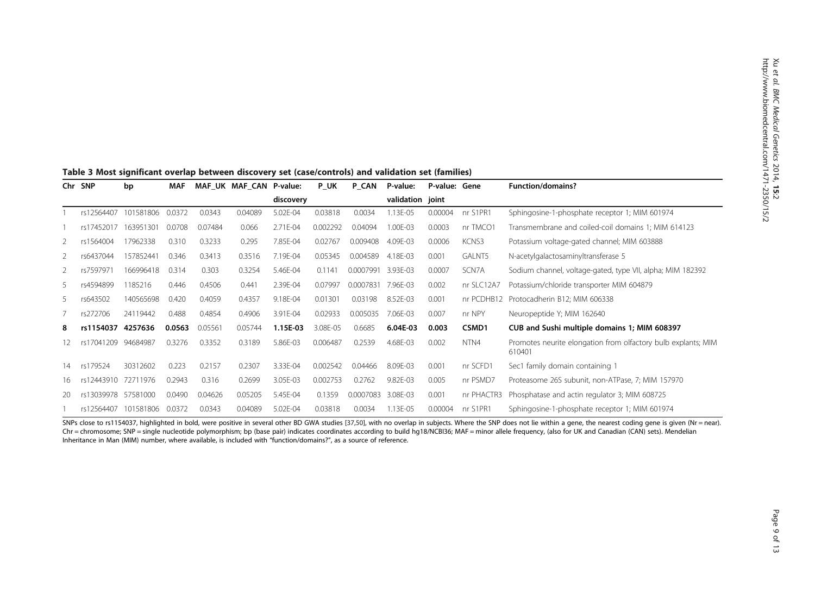|    | Chr SNP    | bp        | MAF    |         | MAF_UK MAF_CAN P-value: |           | P_UK     | P_CAN     | P-value:         | P-value: Gene |               | <b>Function/domains?</b>                                                |
|----|------------|-----------|--------|---------|-------------------------|-----------|----------|-----------|------------------|---------------|---------------|-------------------------------------------------------------------------|
|    |            |           |        |         |                         | discovery |          |           | validation joint |               |               |                                                                         |
|    | rs12564407 | 101581806 | 0.0372 | 0.0343  | 0.04089                 | 5.02E-04  | 0.03818  | 0.0034    | 1.13E-05         | 0.00004       | nr S1PR1      | Sphingosine-1-phosphate receptor 1; MIM 601974                          |
|    | rs17452017 | 163951301 | 0.0708 | 0.07484 | 0.066                   | 2.71E-04  | 0.002292 | 0.04094   | 1.00E-03         | 0.0003        | nr TMCO1      | Transmembrane and coiled-coil domains 1; MIM 614123                     |
| 2  | rs1564004  | 17962338  | 0.310  | 0.3233  | 0.295                   | 7.85E-04  | 0.02767  | 0.009408  | 4.09E-03         | 0.0006        | KCNS3         | Potassium voltage-gated channel; MIM 603888                             |
| 2  | rs6437044  | 157852441 | 0.346  | 0.3413  | 0.3516                  | 7.19E-04  | 0.05345  | 0.004589  | 4.18E-03         | 0.001         | <b>GALNT5</b> | N-acetylgalactosaminyltransferase 5                                     |
|    | rs7597971  | 166996418 | 0.314  | 0.303   | 0.3254                  | 5.46E-04  | 0.1141   | 0.0007991 | 3.93E-03         | 0.0007        | SCN7A         | Sodium channel, voltage-gated, type VII, alpha; MIM 182392              |
| 5. | rs4594899  | 1185216   | 0.446  | 0.4506  | 0.441                   | 2.39E-04  | 0.07997  | 0.0007831 | 7.96E-03         | 0.002         | nr SLC12A7    | Potassium/chloride transporter MIM 604879                               |
| 5. | rs643502   | 140565698 | 0.420  | 0.4059  | 0.4357                  | 9.18E-04  | 0.01301  | 0.03198   | 8.52E-03         | 0.001         | nr PCDHB12    | Protocadherin B12; MIM 606338                                           |
|    | rs272706   | 24119442  | 0.488  | 0.4854  | 0.4906                  | 3.91E-04  | 0.02933  | 0.005035  | 7.06E-03         | 0.007         | nr NPY        | Neuropeptide Y; MIM 162640                                              |
| 8  | rs1154037  | 4257636   | 0.0563 | 0.05561 | 0.05744                 | 1.15E-03  | 3.08E-05 | 0.6685    | 6.04E-03         | 0.003         | CSMD1         | CUB and Sushi multiple domains 1; MIM 608397                            |
|    | rs17041209 | 94684987  | 0.3276 | 0.3352  | 0.3189                  | 5.86E-03  | 0.006487 | 0.2539    | 4.68E-03         | 0.002         | NTN4          | Promotes neurite elongation from olfactory bulb explants; MIM<br>610401 |
| 14 | rs179524   | 30312602  | 0.223  | 0.2157  | 0.2307                  | 3.33E-04  | 0.002542 | 0.04466   | 8.09E-03         | 0.001         | nr SCFD1      | Sec1 family domain containing 1                                         |
| 16 | rs12443910 | 72711976  | 0.2943 | 0.316   | 0.2699                  | 3.05E-03  | 0.002753 | 0.2762    | 9.82E-03         | 0.005         | nr PSMD7      | Proteasome 26S subunit, non-ATPase, 7; MIM 157970                       |
| 20 | rs13039978 | 57581000  | 0.0490 | 0.04626 | 0.05205                 | 5.45E-04  | 0.1359   | 0.0007083 | 3.08E-03         | 0.001         | nr PHACTR3    | Phosphatase and actin regulator 3; MIM 608725                           |
|    | rs12564407 | 101581806 | 0.0372 | 0.0343  | 0.04089                 | 5.02E-04  | 0.03818  | 0.0034    | 1.13E-05         | 0.00004       | nr S1PR1      | Sphingosine-1-phosphate receptor 1; MIM 601974                          |

#### <span id="page-8-0"></span>Table 3 Most significant overlap between discovery set (case/controls) and validation set (families)

SNPs close to rs11540[37](#page-11-0), highlighted in bold, were positive in several other BD GWA studies [37,[50\]](#page-12-0), with no overlap in subjects. Where the SNP does not lie within a gene, the nearest coding gene is given (Nr = near). Chr = chromosome; SNP = single nucleotide polymorphism; bp (base pair) indicates coordinates according to build hg18/NCBI36; MAF = minor allele frequency, (also for UK and Canadian (CAN) sets). Mendelian Inheritance in Man (MIM) number, where available, is included with "function/domains?", as a source of reference.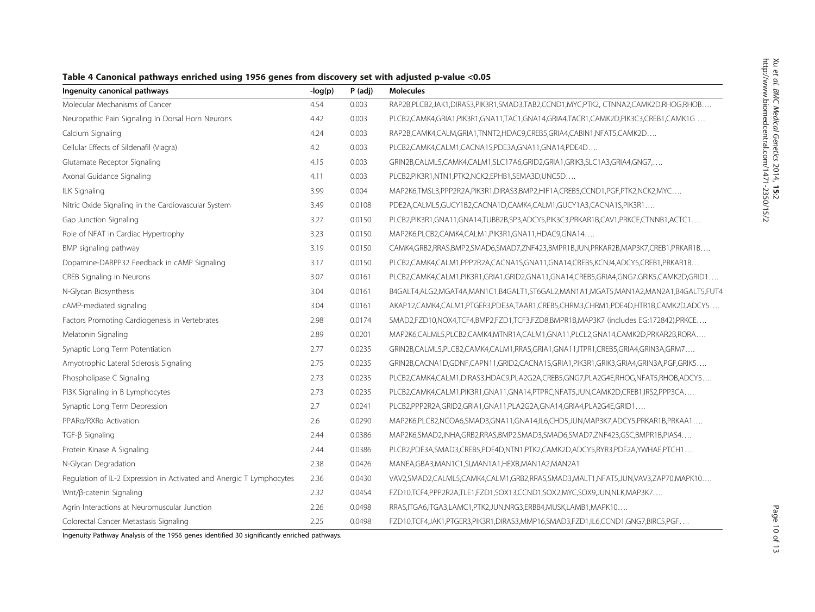<span id="page-9-0"></span>

| Ingenuity canonical pathways                                         | $-log(p)$ | $P$ (adj) | <b>Molecules</b>                                                                     |
|----------------------------------------------------------------------|-----------|-----------|--------------------------------------------------------------------------------------|
| Molecular Mechanisms of Cancer                                       | 4.54      | 0.003     | RAP2B,PLCB2,JAK1,DIRAS3,PIK3R1,SMAD3,TAB2,CCND1,MYC,PTK2, CTNNA2,CAMK2D,RHOG,RHOB    |
| Neuropathic Pain Signaling In Dorsal Horn Neurons                    | 4.42      | 0.003     | PLCB2,CAMK4,GRIA1,PIK3R1,GNA11,TAC1,GNA14,GRIA4,TACR1,CAMK2D,PIK3C3,CREB1,CAMK1G     |
| Calcium Signaling                                                    | 4.24      | 0.003     | RAP2B,CAMK4,CALM,GRIA1,TNNT2,HDAC9,CREB5,GRIA4,CABIN1,NFAT5,CAMK2D                   |
| Cellular Effects of Sildenafil (Viagra)                              | 4.2       | 0.003     | PLCB2,CAMK4,CALM1,CACNA1S,PDE3A,GNA11,GNA14,PDE4D                                    |
| Glutamate Receptor Signaling                                         | 4.15      | 0.003     | GRIN2B,CALML5,CAMK4,CALM1,SLC17A6,GRID2,GRIA1,GRIK3,SLC1A3,GRIA4,GNG7,               |
| Axonal Guidance Signaling                                            | 4.11      | 0.003     | PLCB2,PIK3R1,NTN1,PTK2,NCK2,EPHB1,SEMA3D,UNC5D                                       |
| ILK Signaling                                                        | 3.99      | 0.004     | MAP2K6,TMSL3,PPP2R2A,PIK3R1,DIRAS3,BMP2,HIF1A,CREB5,CCND1,PGF,PTK2,NCK2,MYC          |
| Nitric Oxide Signaling in the Cardiovascular System                  | 3.49      | 0.0108    | PDE2A,CALML5,GUCY1B2,CACNA1D,CAMK4,CALM1,GUCY1A3,CACNA1S,PIK3R1                      |
| Gap Junction Signaling                                               | 3.27      | 0.0150    | PLCB2,PIK3R1,GNA11,GNA14,TUBB2B,SP3,ADCY5,PIK3C3,PRKAR1B,CAV1,PRKCE,CTNNB1,ACTC1     |
| Role of NFAT in Cardiac Hypertrophy                                  | 3.23      | 0.0150    | MAP2K6,PLCB2,CAMK4,CALM1,PIK3R1,GNA11,HDAC9,GNA14                                    |
| BMP signaling pathway                                                | 3.19      | 0.0150    | CAMK4,GRB2,RRAS,BMP2,SMAD6,SMAD7,ZNF423,BMPR1B,JUN,PRKAR2B,MAP3K7,CREB1,PRKAR1B      |
| Dopamine-DARPP32 Feedback in cAMP Signaling                          | 3.17      | 0.0150    | PLCB2,CAMK4,CALM1,PPP2R2A,CACNA1S,GNA11,GNA14,CREB5,KCNJ4,ADCY5,CREB1,PRKAR1B        |
| CREB Signaling in Neurons                                            | 3.07      | 0.0161    | PLCB2,CAMK4,CALM1,PIK3R1,GRIA1,GRID2,GNA11,GNA14,CREB5,GRIA4,GNG7,GRIK5,CAMK2D,GRID1 |
| N-Glycan Biosynthesis                                                | 3.04      | 0.0161    | B4GALT4,ALG2,MGAT4A,MAN1C1,B4GALT1,ST6GAL2,MAN1A1,MGAT5,MAN1A2,MAN2A1,B4GALT5,FUT4   |
| cAMP-mediated signaling                                              | 3.04      | 0.0161    | AKAP12,CAMK4,CALM1,PTGER3,PDE3A,TAAR1,CREB5,CHRM3,CHRM1,PDE4D,HTR1B,CAMK2D,ADCY5     |
| Factors Promoting Cardiogenesis in Vertebrates                       | 2.98      | 0.0174    | SMAD2,FZD10,NOX4,TCF4,BMP2,FZD1,TCF3,FZD8,BMPR1B,MAP3K7 (includes EG:172842),PRKCE   |
| Melatonin Signaling                                                  | 2.89      | 0.0201    | MAP2K6,CALML5,PLCB2,CAMK4,MTNR1A,CALM1,GNA11,PLCL2,GNA14,CAMK2D,PRKAR2B,RORA         |
| Synaptic Long Term Potentiation                                      | 2.77      | 0.0235    | GRIN2B,CALML5,PLCB2,CAMK4,CALM1,RRAS,GRIA1,GNA11,ITPR1,CREB5,GRIA4,GRIN3A,GRM7       |
| Amyotrophic Lateral Sclerosis Signaling                              | 2.75      | 0.0235    | GRIN2B,CACNA1D,GDNF,CAPN11,GRID2,CACNA1S,GRIA1,PIK3R1,GRIK3,GRIA4,GRIN3A,PGF,GRIK5   |
| Phospholipase C Signaling                                            | 2.73      | 0.0235    | PLCB2,CAMK4,CALM1,DIRAS3,HDAC9,PLA2G2A,CREB5,GNG7,PLA2G4E,RHOG,NFAT5,RHOB,ADCY5      |
| PI3K Signaling in B Lymphocytes                                      | 2.73      | 0.0235    | PLCB2,CAMK4,CALM1,PIK3R1,GNA11,GNA14,PTPRC,NFAT5,JUN,CAMK2D,CREB1,IRS2,PPP3CA        |
| Synaptic Long Term Depression                                        | 2.7       | 0.0241    | PLCB2,PPP2R2A,GRID2,GRIA1,GNA11,PLA2G2A,GNA14,GRIA4,PLA2G4E,GRID1                    |
| PPARa/RXRa Activation                                                | 2.6       | 0.0290    | MAP2K6,PLCB2,NCOA6,SMAD3,GNA11,GNA14,IL6,CHD5,JUN,MAP3K7,ADCY5,PRKAR1B,PRKAA1        |
| TGF-ß Signaling                                                      | 2.44      | 0.0386    | MAP2K6,SMAD2,INHA,GRB2,RRAS,BMP2,SMAD3,SMAD6,SMAD7,ZNF423,GSC,BMPR1B,PIAS4           |
| Protein Kinase A Signaling                                           | 2.44      | 0.0386    | PLCB2,PDE3A,SMAD3,CREB5,PDE4D,NTN1,PTK2,CAMK2D,ADCY5,RYR3,PDE2A,YWHAE,PTCH1          |
| N-Glycan Degradation                                                 | 2.38      | 0.0426    | MANEA, GBA3, MAN1C1, SI, MAN1A1, HEXB, MAN1A2, MAN2A1                                |
| Regulation of IL-2 Expression in Activated and Anergic T Lymphocytes | 2.36      | 0.0430    | VAV2,SMAD2,CALML5,CAMK4,CALM1,GRB2,RRAS,SMAD3,MALT1,NFAT5,JUN,VAV3,ZAP70,MAPK10      |
| Wnt/β-catenin Signaling                                              | 2.32      | 0.0454    | FZD10,TCF4,PPP2R2A,TLE1,FZD1,SOX13,CCND1,SOX2,MYC,SOX9,JUN,NLK,MAP3K7                |
| Agrin Interactions at Neuromuscular Junction                         | 2.26      | 0.0498    | RRAS, ITGA6, ITGA3, LAMC1, PTK2, JUN, NRG3, ERBB4, MUSK, LAMB1, MAPK10               |
| Colorectal Cancer Metastasis Signaling                               | 2.25      | 0.0498    | FZD10,TCF4,JAK1,PTGER3,PIK3R1,DIRAS3,MMP16,SMAD3,FZD1,IL6,CCND1,GNG7,BIRC5,PGF       |

Ingenuity Pathway Analysis of the 1956 genes identified 30 significantly enriched pathways.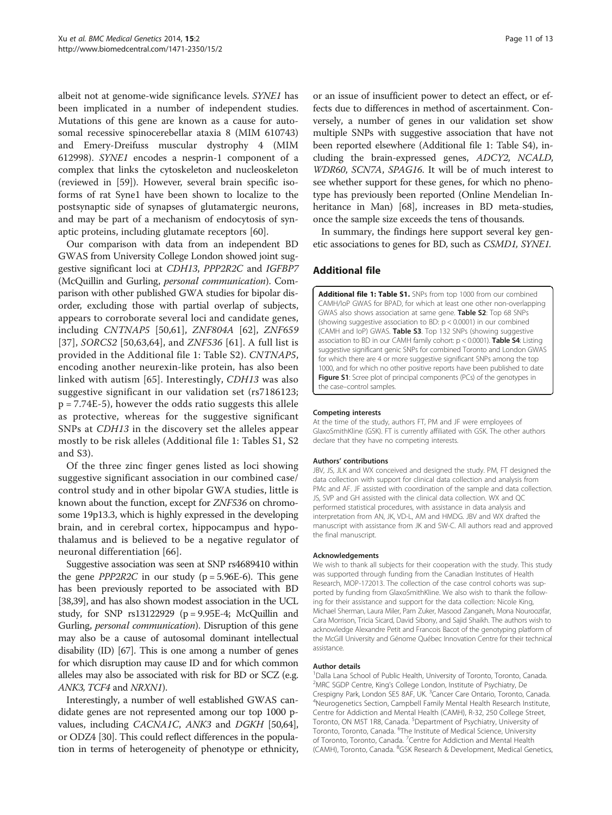<span id="page-10-0"></span>albeit not at genome-wide significance levels. SYNE1 has been implicated in a number of independent studies. Mutations of this gene are known as a cause for autosomal recessive spinocerebellar ataxia 8 (MIM 610743) and Emery-Dreifuss muscular dystrophy 4 (MIM 612998). SYNE1 encodes a nesprin-1 component of a complex that links the cytoskeleton and nucleoskeleton (reviewed in [[59](#page-12-0)]). However, several brain specific isoforms of rat Syne1 have been shown to localize to the postsynaptic side of synapses of glutamatergic neurons, and may be part of a mechanism of endocytosis of synaptic proteins, including glutamate receptors [\[60](#page-12-0)].

Our comparison with data from an independent BD GWAS from University College London showed joint suggestive significant loci at CDH13, PPP2R2C and IGFBP7 (McQuillin and Gurling, personal communication). Comparison with other published GWA studies for bipolar disorder, excluding those with partial overlap of subjects, appears to corroborate several loci and candidate genes, including CNTNAP5 [\[50](#page-12-0),[61\]](#page-12-0), ZNF804A [\[62](#page-12-0)], ZNF659 [[37](#page-11-0)], SORCS2 [[50](#page-12-0),[63,64](#page-12-0)], and ZNF536 [[61](#page-12-0)]. A full list is provided in the Additional file 1: Table S2). CNTNAP5, encoding another neurexin-like protein, has also been linked with autism [[65](#page-12-0)]. Interestingly, CDH13 was also suggestive significant in our validation set (rs7186123; p = 7.74E-5), however the odds ratio suggests this allele as protective, whereas for the suggestive significant SNPs at CDH13 in the discovery set the alleles appear mostly to be risk alleles (Additional file 1: Tables S1, S2 and S3).

Of the three zinc finger genes listed as loci showing suggestive significant association in our combined case/ control study and in other bipolar GWA studies, little is known about the function, except for ZNF536 on chromosome 19p13.3, which is highly expressed in the developing brain, and in cerebral cortex, hippocampus and hypothalamus and is believed to be a negative regulator of neuronal differentiation [\[66](#page-12-0)].

Suggestive association was seen at SNP rs4689410 within the gene  $PPP2R2C$  in our study ( $p = 5.96E-6$ ). This gene has been previously reported to be associated with BD [[38,39\]](#page-12-0), and has also shown modest association in the UCL study, for SNP  $rs13122929$  ( $p = 9.95E-4$ ; McQuillin and Gurling, personal communication). Disruption of this gene may also be a cause of autosomal dominant intellectual disability (ID) [[67](#page-12-0)]. This is one among a number of genes for which disruption may cause ID and for which common alleles may also be associated with risk for BD or SCZ (e.g. ANK3, TCF4 and NRXN1).

Interestingly, a number of well established GWAS candidate genes are not represented among our top 1000 pvalues, including CACNA1C, ANK3 and DGKH [\[50,64](#page-12-0)], or ODZ4 [[30\]](#page-11-0). This could reflect differences in the population in terms of heterogeneity of phenotype or ethnicity, or an issue of insufficient power to detect an effect, or effects due to differences in method of ascertainment. Conversely, a number of genes in our validation set show multiple SNPs with suggestive association that have not been reported elsewhere (Additional file 1: Table S4), including the brain-expressed genes, ADCY2, NCALD, WDR60, SCN7A, SPAG16. It will be of much interest to see whether support for these genes, for which no phenotype has previously been reported (Online Mendelian In-heritance in Man) [\[68\]](#page-12-0), increases in BD meta-studies, once the sample size exceeds the tens of thousands.

In summary, the findings here support several key genetic associations to genes for BD, such as CSMD1, SYNE1.

#### Additional file

[Additional file 1: Table S1.](http://www.biomedcentral.com/content/supplementary/1471-2350-15-2-S1.docx) SNPs from top 1000 from our combined CAMH/IoP GWAS for BPAD, for which at least one other non-overlapping GWAS also shows association at same gene. Table S2: Top 68 SNPs (showing suggestive association to BD: p < 0.0001) in our combined (CAMH and IoP) GWAS. Table S3. Top 132 SNPs (showing suggestive association to BD in our CAMH family cohort:  $p < 0.0001$ ). Table S4: Listing suggestive significant genic SNPs for combined Toronto and London GWAS for which there are 4 or more suggestive significant SNPs among the top 1000, and for which no other positive reports have been published to date Figure S1: Scree plot of principal components (PCs) of the genotypes in the case–control samples.

#### Competing interests

At the time of the study, authors FT, PM and JF were employees of GlaxoSmithKline (GSK). FT is currently affiliated with GSK. The other authors declare that they have no competing interests.

#### Authors' contributions

JBV, JS, JLK and WX conceived and designed the study. PM, FT designed the data collection with support for clinical data collection and analysis from PMc and AF. JF assisted with coordination of the sample and data collection. JS, SVP and GH assisted with the clinical data collection. WX and QC performed statistical procedures, with assistance in data analysis and interpretation from AN, JK, VD-L, AM and HMDG. JBV and WX drafted the manuscript with assistance from JK and SW-C. All authors read and approved the final manuscript.

#### Acknowledgements

We wish to thank all subjects for their cooperation with the study. This study was supported through funding from the Canadian Institutes of Health Research, MOP-172013. The collection of the case control cohorts was supported by funding from GlaxoSmithKline. We also wish to thank the following for their assistance and support for the data collection: Nicole King, Michael Sherman, Laura Miler, Pam Zuker, Masood Zanganeh, Mona Nouroozifar, Cara Morrison, Tricia Sicard, David Sibony, and Sajid Shaikh. The authors wish to acknowledge Alexandre Petit and Francois Bacot of the genotyping platform of the McGill University and Génome Québec Innovation Centre for their technical assistance.

#### Author details

1 Dalla Lana School of Public Health, University of Toronto, Toronto, Canada. 2 MRC SGDP Centre, King's College London, Institute of Psychiatry, De Crespigny Park, London SE5 8AF, UK. <sup>3</sup> Cancer Care Ontario, Toronto, Canada.<br><sup>4</sup> Nourogenesics Section, Campbell Family Mental Hoalth Peseasch Institute. <sup>4</sup>Neurogenetics Section, Campbell Family Mental Health Research Institute, Centre for Addiction and Mental Health (CAMH), R-32, 250 College Street, Toronto, ON M5T 1R8, Canada. <sup>5</sup>Department of Psychiatry, University of Toronto, Toronto, Canada. <sup>6</sup>The Institute of Medical Science, University of Toronto, Toronto, Canada. <sup>7</sup> Centre for Addiction and Mental Health (CAMH), Toronto, Canada. <sup>8</sup>GSK Research & Development, Medical Genetics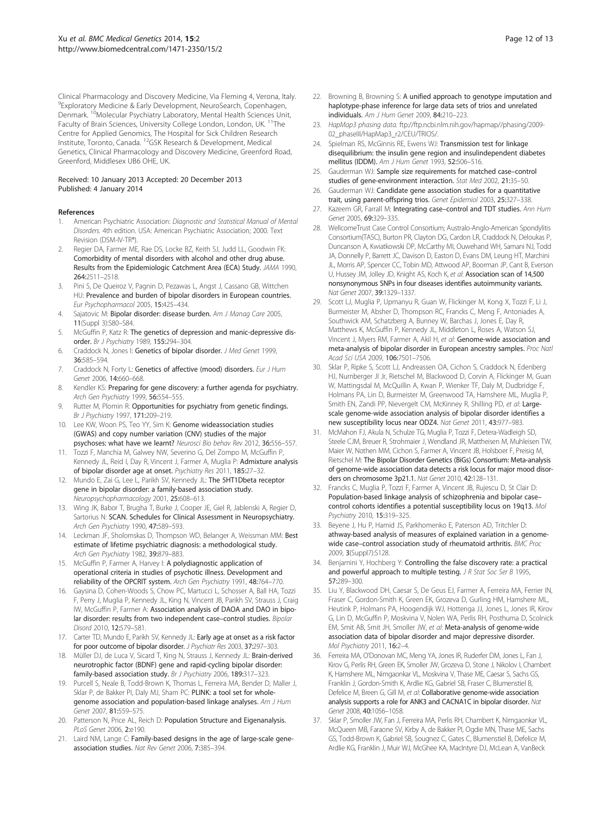<span id="page-11-0"></span>Clinical Pharmacology and Discovery Medicine, Via Fleming 4, Verona, Italy. 9 Exploratory Medicine & Early Development, NeuroSearch, Copenhagen, Denmark. <sup>10</sup>Molecular Psychiatry Laboratory, Mental Health Sciences Unit, Faculty of Brain Sciences, University College London, London, UK. <sup>11</sup>The Centre for Applied Genomics, The Hospital for Sick Children Research Institute, Toronto, Canada. 12GSK Research & Development, Medical Genetics, Clinical Pharmacology and Discovery Medicine, Greenford Road, Greenford, Middlesex UB6 OHE, UK.

#### Received: 10 January 2013 Accepted: 20 December 2013 Published: 4 January 2014

#### References

- 1. American Psychiatric Association: Diagnostic and Statistical Manual of Mental Disorders. 4th edition. USA: American Psychiatric Association; 2000. Text Revision (DSM-IV-TR®).
- Regier DA, Farmer ME, Rae DS, Locke BZ, Keith SJ, Judd LL, Goodwin FK: Comorbidity of mental disorders with alcohol and other drug abuse. Results from the Epidemiologic Catchment Area (ECA) Study. JAMA 1990, 264:2511–2518.
- 3. Pini S, De Queiroz V, Pagnin D, Pezawas L, Angst J, Cassano GB, Wittchen HU: Prevalence and burden of bipolar disorders in European countries. Eur Psychopharmacol 2005, 15:425–434.
- 4. Sajatovic M: Bipolar disorder: disease burden. Am J Manag Care 2005, 11(Suppl 3):S80–S84.
- 5. McGuffin P, Katz R: The genetics of depression and manic-depressive disorder. Br J Psychiatry 1989, 155:294–304.
- 6. Craddock N, Jones I: Genetics of bipolar disorder. J Med Genet 1999, 36:585–594.
- 7. Craddock N, Forty L: Genetics of affective (mood) disorders. Eur J Hum Genet 2006, 14:660–668.
- 8. Kendler KS: Preparing for gene discovery: a further agenda for psychiatry. Arch Gen Psychiatry 1999, 56:554–555.
- 9. Rutter M, Plomin R: Opportunities for psychiatry from genetic findings. Br J Psychiatry 1997, 171:209–219.
- 10. Lee KW, Woon PS, Teo YY, Sim K: Genome wideassociation studies (GWAS) and copy number variation (CNV) studies of the major psychoses: what have we learnt? Neurosci Bio behav Rev 2012, 36:556–557.
- 11. Tozzi F, Manchia M, Galwey NW, Severino G, Del Zompo M, McGuffin P, Kennedy JL, Reid I, Day R, Vincent J, Farmer A, Muglia P: Admixture analysis of bipolar disorder age at onset. Psychiatry Res 2011, 185:27–32.
- 12. Mundo E, Zai G, Lee L, Parikh SV, Kennedy JL: The 5HT1Dbeta receptor gene in bipolar disorder: a family-based association study. Neuropsychopharmacology 2001, 25:608–613.
- 13. Wing JK, Babor T, Brugha T, Burke J, Cooper JE, Giel R, Jablenski A, Regier D, Sartorius N: SCAN. Schedules for Clinical Assessment in Neuropsychiatry. Arch Gen Psychiatry 1990, 47:589-593.
- 14. Leckman JF, Sholomskas D, Thompson WD, Belanger A, Weissman MM: Best estimate of lifetime psychiatric diagnosis: a methodological study. Arch Gen Psychiatry 1982, 39:879-883.
- 15. McGuffin P, Farmer A, Harvey I: A polydiagnostic application of operational criteria in studies of psychotic illness. Development and reliability of the OPCRIT system. Arch Gen Psychiatry 1991, 48:764-770.
- 16. Gaysina D, Cohen-Woods S, Chow PC, Martucci L, Schosser A, Ball HA, Tozzi F, Perry J, Muglia P, Kennedy JL, King N, Vincent JB, Parikh SV, Strauss J, Craig IW, McGuffin P, Farmer A: Association analysis of DAOA and DAO in bipolar disorder: results from two independent case–control studies. Bipolar Disord 2010, 12:579–581.
- 17. Carter TD, Mundo E, Parikh SV, Kennedy JL: Early age at onset as a risk factor for poor outcome of bipolar disorder. J Psychiatr Res 2003, 37:297-303.
- 18. Müller DJ, de Luca V, Sicard T, King N, Strauss J, Kennedy JL: Brain-derived neurotrophic factor (BDNF) gene and rapid-cycling bipolar disorder: family-based association study. Br J Psychiatry 2006, 189:317–323.
- 19. Purcell S, Neale B, Todd-Brown K, Thomas L, Ferreira MA, Bender D, Maller J, Sklar P, de Bakker PI, Daly MJ, Sham PC: PLINK: a tool set for wholegenome association and population-based linkage analyses. Am J Hum Genet 2007, 81:559–575.
- 20. Patterson N, Price AL, Reich D: Population Structure and Eigenanalysis. PLoS Genet 2006, 2:e190.
- 21. Laird NM, Lange C: Family-based designs in the age of large-scale geneassociation studies. Nat Rev Genet 2006, 7:385–394.
- 22. Browning B, Browning S: A unified approach to genotype imputation and haplotype-phase inference for large data sets of trios and unrelated individuals. Am J Hum Genet 2009, 84:210–223.
- 23. HapMap3 phasing data. [ftp://ftp.ncbi.nlm.nih.gov/hapmap//phasing/2009-](ftp://ftp.ncbi.nlm.nih.gov/hapmap//phasing/2009-02_phaseIII/HapMap3_r2/CEU/TRIOS/) [02\\_phaseIII/HapMap3\\_r2/CEU/TRIOS/.](ftp://ftp.ncbi.nlm.nih.gov/hapmap//phasing/2009-02_phaseIII/HapMap3_r2/CEU/TRIOS/)
- 24. Spielman RS, McGinnis RE, Ewens WJ: Transmission test for linkage disequilibrium: the insulin gene region and insulindependent diabetes mellitus (IDDM). Am J Hum Genet 1993, 52:506–516.
- 25. Gauderman WJ: Sample size requirements for matched case–control studies of gene-environment interaction. Stat Med 2002, 21:35–50.
- 26. Gauderman WJ: Candidate gene association studies for a quantitative trait, using parent-offspring trios. Genet Epidemiol 2003, 25:327–338.
- 27. Kazeem GR, Farrall M: Integrating case-control and TDT studies. Ann Hum Genet 2005, 69:329–335.
- 28. WellcomeTrust Case Control Consortium; Australo-Anglo-American Spondylitis Consortium(TASC), Burton PR, Clayton DG, Cardon LR, Craddock N, Deloukas P, Duncanson A, Kwiatkowski DP, McCarthy MI, Ouwehand WH, Samani NJ, Todd JA, Donnelly P, Barrett JC, Davison D, Easton D, Evans DM, Leung HT, Marchini JL, Morris AP, Spencer CC, Tobin MD, Attwood AP, Boorman JP, Cant B, Everson U, Hussey JM, Jolley JD, Knight AS, Koch K, et al: Association scan of 14,500 nonsynonymous SNPs in four diseases identifies autoimmunity variants. Nat Genet 2007, 39:1329-1337.
- 29. Scott LJ, Muglia P, Upmanyu R, Guan W, Flickinger M, Kong X, Tozzi F, Li J, Burmeister M, Absher D, Thompson RC, Francks C, Meng F, Antoniades A, Southwick AM, Schatzberg A, Bunney W, Barchas J, Jones E, Day R, Matthews K, McGuffin P, Kennedy JL, Middleton L, Roses A, Watson SJ, Vincent J, Myers RM, Farmer A, Akil H, et al: Genome-wide association and meta-analysis of bipolar disorder in European ancestry samples. Proc Natl Acad Sci USA 2009, 106:7501-7506.
- 30. Sklar P, Ripke S, Scott LJ, Andreassen OA, Cichon S, Craddock N, Edenberg HJ, Nurnberger JI Jr, Rietschel M, Blackwood D, Corvin A, Flickinger M, Guan W, Mattingsdal M, McQuillin A, Kwan P, Wienker TF, Daly M, Dudbridge F, Holmans PA, Lin D, Burmeister M, Greenwood TA, Hamshere ML, Muglia P, Smith EN, Zandi PP, Nievergelt CM, McKinney R, Shilling PD, et al: Largescale genome-wide association analysis of bipolar disorder identifies a new susceptibility locus near ODZ4. Nat Genet 2011, 43:977-983.
- 31. McMahon FJ, Akula N, Schulze TG, Muglia P, Tozzi F, Detera-Wadleigh SD, Steele CJM, Breuer R, Strohmaier J, Wendland JR, Mattheisen M, Muhleisen TW, Maier W, Nothen MM, Cichon S, Farmer A, Vincent JB, Holsboer F, Preisig M, Rietschel M: The Bipolar Disorder Genetics (BiGs) Consortium: Meta-analysis of genome-wide association data detects a risk locus for major mood disorders on chromosome 3p21.1. Nat Genet 2010, 42:128–131.
- 32. Francks C, Muglia P, Tozzi F, Farmer A, Vincent JB, Rujescu D, St Clair D: Population-based linkage analysis of schizophrenia and bipolar case– control cohorts identifies a potential susceptibility locus on 19q13. Mol Psychiatry 2010, 15:319–325.
- 33. Beyene J, Hu P, Hamid JS, Parkhomenko E, Paterson AD, Tritchler D: athway-based analysis of measures of explained variation in a genomewide case–control association study of rheumatoid arthritis. BMC Proc 2009, 3(Suppl7):S128.
- 34. Benjamini Y, Hochberg Y: Controlling the false discovery rate: a practical and powerful approach to multiple testing. J R Stat Soc Ser B 1995, 57:289–300.
- 35. Liu Y, Blackwood DH, Caesar S, De Geus EJ, Farmer A, Ferreira MA, Ferrier IN, Fraser C, Gordon-Smith K, Green EK, Grozeva D, Gurling HM, Hamshere ML, Heutink P, Holmans PA, Hoogendijk WJ, Hottenga JJ, Jones L, Jones IR, Kirov G, Lin D, McGuffin P, Moskvina V, Nolen WA, Perlis RH, Posthuma D, Scolnick EM, Smit AB, Smit JH, Smoller JW, et al: Meta-analysis of genome-wide association data of bipolar disorder and major depressive disorder. Mol Psychiatry 2011, 16:2-4.
- 36. Ferreira MA, O'Donovan MC, Meng YA, Jones IR, Ruderfer DM, Jones L, Fan J, Kirov G, Perlis RH, Green EK, Smoller JW, Grozeva D, Stone J, Nikolov I, Chambert K, Hamshere ML, Nimgaonkar VL, Moskvina V, Thase ME, Caesar S, Sachs GS, Franklin J, Gordon-Smith K, Ardlie KG, Gabriel SB, Fraser C, Blumenstiel B, Defelice M, Breen G, Gill M, et al: Collaborative genome-wide association analysis supports a role for ANK3 and CACNA1C in bipolar disorder. Nat Genet 2008, 40:1056–1058.
- 37. Sklar P, Smoller JW, Fan J, Ferreira MA, Perlis RH, Chambert K, Nimgaonkar VL, McQueen MB, Faraone SV, Kirby A, de Bakker PI, Ogdie MN, Thase ME, Sachs GS, Todd-Brown K, Gabriel SB, Sougnez C, Gates C, Blumenstiel B, Defelice M, Ardlie KG, Franklin J, Muir WJ, McGhee KA, MacIntyre DJ, McLean A, VanBeck